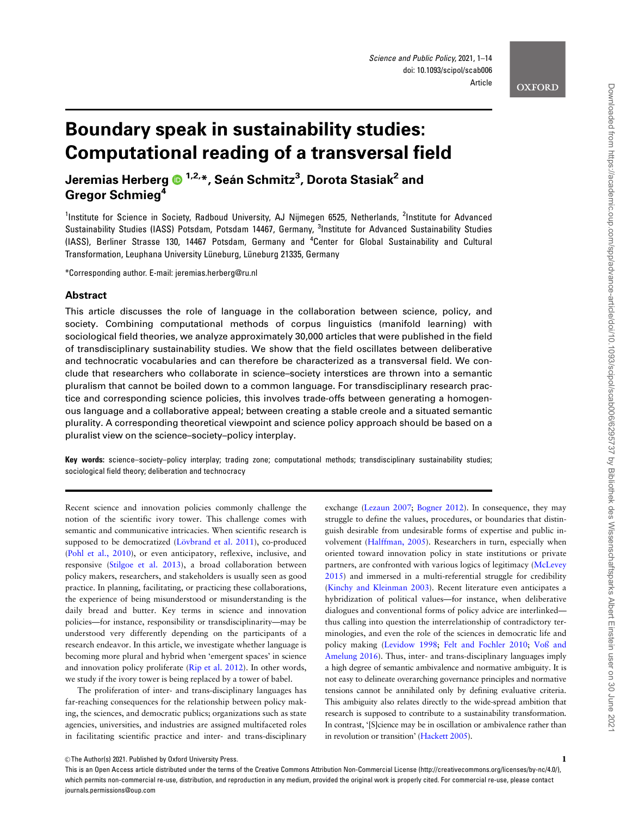#### **OXFORD**

# Boundary speak in sustainability studies: Computational reading of a transversal field

Jeremias Herberg 1,2,\*, Sea´ n Schmitz3 , Dorota Stasiak2 and Gregor Schmieg<sup>4</sup>

<sup>1</sup>Institute for Science in Society, Radboud University, AJ Nijmegen 6525, Netherlands, <sup>2</sup>Institute for Advanced Sustainability Studies (IASS) Potsdam, Potsdam 14467, Germany, <sup>3</sup>Institute for Advanced Sustainability Studies (IASS), Berliner Strasse 130, 14467 Potsdam, Germany and <sup>4</sup>Center for Global Sustainability and Cultural Transformation, Leuphana University Lüneburg, Lüneburg 21335, Germany

\*Corresponding author. E-mail: jeremias.herberg@ru.nl

#### Abstract

This article discusses the role of language in the collaboration between science, policy, and society. Combining computational methods of corpus linguistics (manifold learning) with sociological field theories, we analyze approximately 30,000 articles that were published in the field of transdisciplinary sustainability studies. We show that the field oscillates between deliberative and technocratic vocabularies and can therefore be characterized as a transversal field. We conclude that researchers who collaborate in science–society interstices are thrown into a semantic pluralism that cannot be boiled down to a common language. For transdisciplinary research practice and corresponding science policies, this involves trade-offs between generating a homogenous language and a collaborative appeal; between creating a stable creole and a situated semantic plurality. A corresponding theoretical viewpoint and science policy approach should be based on a pluralist view on the science–society–policy interplay.

Key words: science–society–policy interplay; trading zone; computational methods; transdisciplinary sustainability studies; sociological field theory; deliberation and technocracy

Recent science and innovation policies commonly challenge the notion of the scientific ivory tower. This challenge comes with semantic and communicative intricacies. When scientific research is supposed to be democratized (Lövbrand et al. 2011), co-produced ([Pohl et al., 2010\)](#page-13-0), or even anticipatory, reflexive, inclusive, and responsive [\(Stilgoe et al. 2013](#page-13-0)), a broad collaboration between policy makers, researchers, and stakeholders is usually seen as good practice. In planning, facilitating, or practicing these collaborations, the experience of being misunderstood or misunderstanding is the daily bread and butter. Key terms in science and innovation policies—for instance, responsibility or transdisciplinarity—may be understood very differently depending on the participants of a research endeavor. In this article, we investigate whether language is becoming more plural and hybrid when 'emergent spaces' in science and innovation policy proliferate [\(Rip et al. 2012\)](#page-13-0). In other words, we study if the ivory tower is being replaced by a tower of babel.

The proliferation of inter- and trans-disciplinary languages has far-reaching consequences for the relationship between policy making, the sciences, and democratic publics; organizations such as state agencies, universities, and industries are assigned multifaceted roles in facilitating scientific practice and inter- and trans-disciplinary

exchange [\(Lezaun 2007;](#page-12-0) [Bogner 2012\)](#page-11-0). In consequence, they may struggle to define the values, procedures, or boundaries that distinguish desirable from undesirable forms of expertise and public involvement [\(Halffman, 2005\)](#page-12-0). Researchers in turn, especially when oriented toward innovation policy in state institutions or private partners, are confronted with various logics of legitimacy ([McLevey](#page-12-0) [2015\)](#page-12-0) and immersed in a multi-referential struggle for credibility ([Kinchy and Kleinman 2003\)](#page-12-0). Recent literature even anticipates a hybridization of political values—for instance, when deliberative dialogues and conventional forms of policy advice are interlinked thus calling into question the interrelationship of contradictory terminologies, and even the role of the sciences in democratic life and policy making [\(Levidow 1998;](#page-12-0) [Felt and Fochler 2010](#page-12-0); [Voß and](#page-13-0) [Amelung 2016](#page-13-0)). Thus, inter- and trans-disciplinary languages imply a high degree of semantic ambivalence and normative ambiguity. It is not easy to delineate overarching governance principles and normative tensions cannot be annihilated only by defining evaluative criteria. This ambiguity also relates directly to the wide-spread ambition that research is supposed to contribute to a sustainability transformation. In contrast, '[S]cience may be in oscillation or ambivalence rather than in revolution or transition' ([Hackett 2005](#page-12-0)).

This is an Open Access article distributed under the terms of the Creative Commons Attribution Non-Commercial License (http://creativecommons.org/licenses/by-nc/4.0/), which permits non-commercial re-use, distribution, and reproduction in any medium, provided the original work is properly cited. For commercial re-use, please contact journals.permissions@oup.com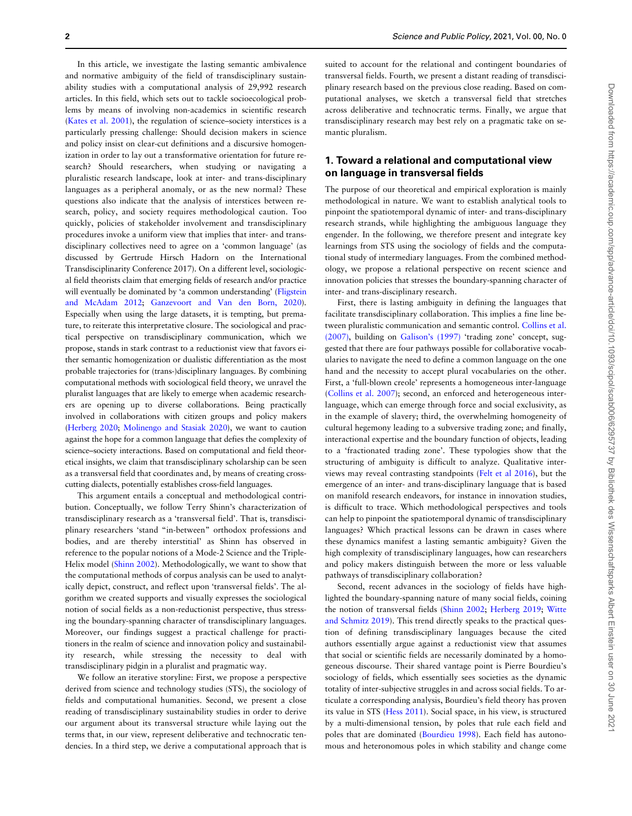In this article, we investigate the lasting semantic ambivalence and normative ambiguity of the field of transdisciplinary sustainability studies with a computational analysis of 29,992 research articles. In this field, which sets out to tackle socioecological problems by means of involving non-academics in scientific research ([Kates et al. 2001](#page-12-0)), the regulation of science–society interstices is a particularly pressing challenge: Should decision makers in science and policy insist on clear-cut definitions and a discursive homogenization in order to lay out a transformative orientation for future research? Should researchers, when studying or navigating a pluralistic research landscape, look at inter- and trans-disciplinary languages as a peripheral anomaly, or as the new normal? These questions also indicate that the analysis of interstices between research, policy, and society requires methodological caution. Too quickly, policies of stakeholder involvement and transdisciplinary procedures invoke a uniform view that implies that inter- and transdisciplinary collectives need to agree on a 'common language' (as discussed by Gertrude Hirsch Hadorn on the International Transdisciplinarity Conference 2017). On a different level, sociological field theorists claim that emerging fields of research and/or practice will eventually be dominated by 'a common understanding' [\(Fligstein](#page-12-0) [and McAdam 2012;](#page-12-0) [Ganzevoort and Van den Born, 2020](#page-12-0)). Especially when using the large datasets, it is tempting, but premature, to reiterate this interpretative closure. The sociological and practical perspective on transdisciplinary communication, which we propose, stands in stark contrast to a reductionist view that favors either semantic homogenization or dualistic differentiation as the most probable trajectories for (trans-)disciplinary languages. By combining computational methods with sociological field theory, we unravel the pluralist languages that are likely to emerge when academic researchers are opening up to diverse collaborations. Being practically involved in collaborations with citizen groups and policy makers ([Herberg 2020](#page-12-0); [Molinengo and Stasiak 2020](#page-12-0)), we want to caution against the hope for a common language that defies the complexity of science–society interactions. Based on computational and field theoretical insights, we claim that transdisciplinary scholarship can be seen as a transversal field that coordinates and, by means of creating crosscutting dialects, potentially establishes cross-field languages.

This argument entails a conceptual and methodological contribution. Conceptually, we follow Terry Shinn's characterization of transdisciplinary research as a 'transversal field'. That is, transdisciplinary researchers 'stand "in-between" orthodox professions and bodies, and are thereby interstitial' as Shinn has observed in reference to the popular notions of a Mode-2 Science and the Triple-Helix model ([Shinn 2002\)](#page-13-0). Methodologically, we want to show that the computational methods of corpus analysis can be used to analytically depict, construct, and reflect upon 'transversal fields'. The algorithm we created supports and visually expresses the sociological notion of social fields as a non-reductionist perspective, thus stressing the boundary-spanning character of transdisciplinary languages. Moreover, our findings suggest a practical challenge for practitioners in the realm of science and innovation policy and sustainability research, while stressing the necessity to deal with transdisciplinary pidgin in a pluralist and pragmatic way.

We follow an iterative storyline: First, we propose a perspective derived from science and technology studies (STS), the sociology of fields and computational humanities. Second, we present a close reading of transdisciplinary sustainability studies in order to derive our argument about its transversal structure while laying out the terms that, in our view, represent deliberative and technocratic tendencies. In a third step, we derive a computational approach that is

suited to account for the relational and contingent boundaries of transversal fields. Fourth, we present a distant reading of transdisciplinary research based on the previous close reading. Based on computational analyses, we sketch a transversal field that stretches across deliberative and technocratic terms. Finally, we argue that transdisciplinary research may best rely on a pragmatic take on semantic pluralism.

# 1. Toward a relational and computational view on language in transversal fields

The purpose of our theoretical and empirical exploration is mainly methodological in nature. We want to establish analytical tools to pinpoint the spatiotemporal dynamic of inter- and trans-disciplinary research strands, while highlighting the ambiguous language they engender. In the following, we therefore present and integrate key learnings from STS using the sociology of fields and the computational study of intermediary languages. From the combined methodology, we propose a relational perspective on recent science and innovation policies that stresses the boundary-spanning character of inter- and trans-disciplinary research.

First, there is lasting ambiguity in defining the languages that facilitate transdisciplinary collaboration. This implies a fine line between pluralistic communication and semantic control. [Collins et al.](#page-11-0) [\(2007\)](#page-11-0), building on [Galison's \(1997\)](#page-12-0) 'trading zone' concept, suggested that there are four pathways possible for collaborative vocabularies to navigate the need to define a common language on the one hand and the necessity to accept plural vocabularies on the other. First, a 'full-blown creole' represents a homogeneous inter-language ([Collins et al. 2007\)](#page-11-0); second, an enforced and heterogeneous interlanguage, which can emerge through force and social exclusivity, as in the example of slavery; third, the overwhelming homogeneity of cultural hegemony leading to a subversive trading zone; and finally, interactional expertise and the boundary function of objects, leading to a 'fractionated trading zone'. These typologies show that the structuring of ambiguity is difficult to analyze. Qualitative interviews may reveal contrasting standpoints ([Felt et al 2016](#page-12-0)), but the emergence of an inter- and trans-disciplinary language that is based on manifold research endeavors, for instance in innovation studies, is difficult to trace. Which methodological perspectives and tools can help to pinpoint the spatiotemporal dynamic of transdisciplinary languages? Which practical lessons can be drawn in cases where these dynamics manifest a lasting semantic ambiguity? Given the high complexity of transdisciplinary languages, how can researchers and policy makers distinguish between the more or less valuable pathways of transdisciplinary collaboration?

Second, recent advances in the sociology of fields have highlighted the boundary-spanning nature of many social fields, coining the notion of transversal fields ([Shinn 2002;](#page-13-0) [Herberg 2019;](#page-12-0) [Witte](#page-13-0) [and Schmitz 2019\)](#page-13-0). This trend directly speaks to the practical question of defining transdisciplinary languages because the cited authors essentially argue against a reductionist view that assumes that social or scientific fields are necessarily dominated by a homogeneous discourse. Their shared vantage point is Pierre Bourdieu's sociology of fields, which essentially sees societies as the dynamic totality of inter-subjective struggles in and across social fields. To articulate a corresponding analysis, Bourdieu's field theory has proven its value in STS [\(Hess 2011](#page-12-0)). Social space, in his view, is structured by a multi-dimensional tension, by poles that rule each field and poles that are dominated [\(Bourdieu 1998](#page-11-0)). Each field has autonomous and heteronomous poles in which stability and change come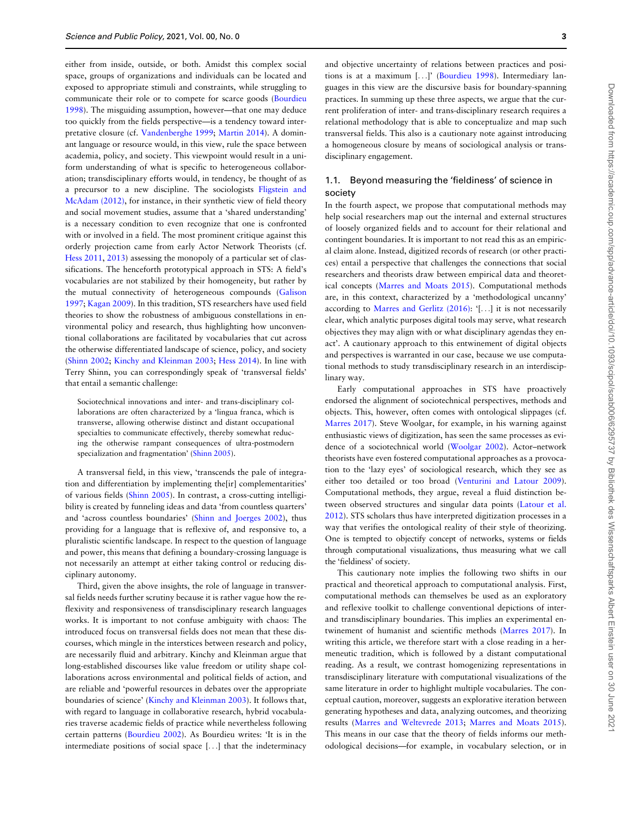either from inside, outside, or both. Amidst this complex social space, groups of organizations and individuals can be located and exposed to appropriate stimuli and constraints, while struggling to communicate their role or to compete for scarce goods ([Bourdieu](#page-11-0) [1998\)](#page-11-0). The misguiding assumption, however—that one may deduce too quickly from the fields perspective—is a tendency toward interpretative closure (cf. [Vandenberghe 1999;](#page-13-0) [Martin 2014](#page-12-0)). A dominant language or resource would, in this view, rule the space between academia, policy, and society. This viewpoint would result in a uniform understanding of what is specific to heterogeneous collaboration; transdisciplinary efforts would, in tendency, be thought of as a precursor to a new discipline. The sociologists [Fligstein and](#page-12-0) [McAdam \(2012\),](#page-12-0) for instance, in their synthetic view of field theory and social movement studies, assume that a 'shared understanding' is a necessary condition to even recognize that one is confronted with or involved in a field. The most prominent critique against this orderly projection came from early Actor Network Theorists (cf. [Hess 2011](#page-12-0), [2013](#page-12-0)) assessing the monopoly of a particular set of classifications. The henceforth prototypical approach in STS: A field's vocabularies are not stabilized by their homogeneity, but rather by the mutual connectivity of heterogeneous compounds ([Galison](#page-12-0) [1997;](#page-12-0) [Kagan 2009\)](#page-12-0). In this tradition, STS researchers have used field theories to show the robustness of ambiguous constellations in environmental policy and research, thus highlighting how unconventional collaborations are facilitated by vocabularies that cut across the otherwise differentiated landscape of science, policy, and society ([Shinn 2002;](#page-13-0) [Kinchy and Kleinman 2003;](#page-12-0) [Hess 2014\)](#page-12-0). In line with Terry Shinn, you can correspondingly speak of 'transversal fields' that entail a semantic challenge:

Sociotechnical innovations and inter- and trans-disciplinary collaborations are often characterized by a 'lingua franca, which is transverse, allowing otherwise distinct and distant occupational specialties to communicate effectively, thereby somewhat reducing the otherwise rampant consequences of ultra-postmodern specialization and fragmentation' [\(Shinn 2005\)](#page-13-0).

A transversal field, in this view, 'transcends the pale of integration and differentiation by implementing the[ir] complementarities' of various fields ([Shinn 2005\)](#page-13-0). In contrast, a cross-cutting intelligibility is created by funneling ideas and data 'from countless quarters' and 'across countless boundaries' [\(Shinn and Joerges 2002\)](#page-13-0), thus providing for a language that is reflexive of, and responsive to, a pluralistic scientific landscape. In respect to the question of language and power, this means that defining a boundary-crossing language is not necessarily an attempt at either taking control or reducing disciplinary autonomy.

Third, given the above insights, the role of language in transversal fields needs further scrutiny because it is rather vague how the reflexivity and responsiveness of transdisciplinary research languages works. It is important to not confuse ambiguity with chaos: The introduced focus on transversal fields does not mean that these discourses, which mingle in the interstices between research and policy, are necessarily fluid and arbitrary. Kinchy and Kleinman argue that long-established discourses like value freedom or utility shape collaborations across environmental and political fields of action, and are reliable and 'powerful resources in debates over the appropriate boundaries of science' ([Kinchy and Kleinman 2003\)](#page-12-0). It follows that, with regard to language in collaborative research, hybrid vocabularies traverse academic fields of practice while nevertheless following certain patterns ([Bourdieu 2002\)](#page-11-0). As Bourdieu writes: 'It is in the intermediate positions of social space [...] that the indeterminacy

and objective uncertainty of relations between practices and positions is at a maximum [...]' ([Bourdieu 1998\)](#page-11-0). Intermediary languages in this view are the discursive basis for boundary-spanning practices. In summing up these three aspects, we argue that the current proliferation of inter- and trans-disciplinary research requires a relational methodology that is able to conceptualize and map such transversal fields. This also is a cautionary note against introducing a homogeneous closure by means of sociological analysis or transdisciplinary engagement.

# 1.1. Beyond measuring the 'fieldiness' of science in society

In the fourth aspect, we propose that computational methods may help social researchers map out the internal and external structures of loosely organized fields and to account for their relational and contingent boundaries. It is important to not read this as an empirical claim alone. Instead, digitized records of research (or other practices) entail a perspective that challenges the connections that social researchers and theorists draw between empirical data and theoretical concepts ([Marres and Moats 2015](#page-12-0)). Computational methods are, in this context, characterized by a 'methodological uncanny' according to [Marres and Gerlitz \(2016\):](#page-12-0) '[...] it is not necessarily clear, which analytic purposes digital tools may serve, what research objectives they may align with or what disciplinary agendas they enact'. A cautionary approach to this entwinement of digital objects and perspectives is warranted in our case, because we use computational methods to study transdisciplinary research in an interdisciplinary way.

Early computational approaches in STS have proactively endorsed the alignment of sociotechnical perspectives, methods and objects. This, however, often comes with ontological slippages (cf. [Marres 2017](#page-12-0)). Steve Woolgar, for example, in his warning against enthusiastic views of digitization, has seen the same processes as evidence of a sociotechnical world ([Woolgar 2002](#page-13-0)). Actor–network theorists have even fostered computational approaches as a provocation to the 'lazy eyes' of sociological research, which they see as either too detailed or too broad [\(Venturini and Latour 2009](#page-13-0)). Computational methods, they argue, reveal a fluid distinction between observed structures and singular data points ([Latour et al.](#page-12-0) [2012\)](#page-12-0). STS scholars thus have interpreted digitization processes in a way that verifies the ontological reality of their style of theorizing. One is tempted to objectify concept of networks, systems or fields through computational visualizations, thus measuring what we call the 'fieldiness' of society.

This cautionary note implies the following two shifts in our practical and theoretical approach to computational analysis. First, computational methods can themselves be used as an exploratory and reflexive toolkit to challenge conventional depictions of interand transdisciplinary boundaries. This implies an experimental entwinement of humanist and scientific methods [\(Marres 2017](#page-12-0)). In writing this article, we therefore start with a close reading in a hermeneutic tradition, which is followed by a distant computational reading. As a result, we contrast homogenizing representations in transdisciplinary literature with computational visualizations of the same literature in order to highlight multiple vocabularies. The conceptual caution, moreover, suggests an explorative iteration between generating hypotheses and data, analyzing outcomes, and theorizing results ([Marres and Weltevrede 2013](#page-12-0); [Marres and Moats 2015](#page-12-0)). This means in our case that the theory of fields informs our methodological decisions—for example, in vocabulary selection, or in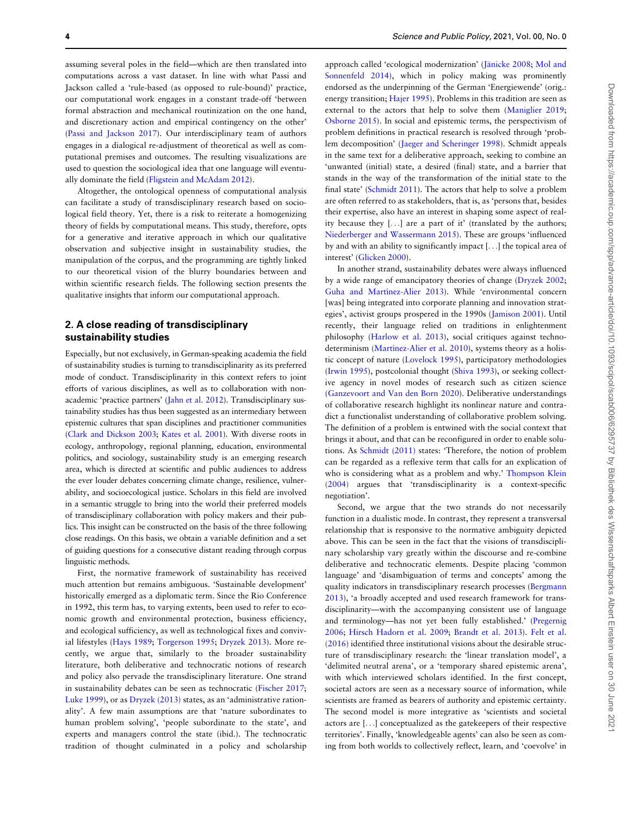assuming several poles in the field—which are then translated into computations across a vast dataset. In line with what Passi and Jackson called a 'rule-based (as opposed to rule-bound)' practice, our computational work engages in a constant trade-off 'between formal abstraction and mechanical routinization on the one hand, and discretionary action and empirical contingency on the other' ([Passi and Jackson 2017](#page-12-0)). Our interdisciplinary team of authors engages in a dialogical re-adjustment of theoretical as well as computational premises and outcomes. The resulting visualizations are used to question the sociological idea that one language will eventually dominate the field [\(Fligstein and McAdam 2012\)](#page-12-0).

Altogether, the ontological openness of computational analysis can facilitate a study of transdisciplinary research based on sociological field theory. Yet, there is a risk to reiterate a homogenizing theory of fields by computational means. This study, therefore, opts for a generative and iterative approach in which our qualitative observation and subjective insight in sustainability studies, the manipulation of the corpus, and the programming are tightly linked to our theoretical vision of the blurry boundaries between and within scientific research fields. The following section presents the qualitative insights that inform our computational approach.

# 2. A close reading of transdisciplinary sustainability studies

Especially, but not exclusively, in German-speaking academia the field of sustainability studies is turning to transdisciplinarity as its preferred mode of conduct. Transdisciplinarity in this context refers to joint efforts of various disciplines, as well as to collaboration with nonacademic 'practice partners' [\(Jahn et al. 2012\)](#page-12-0). Transdisciplinary sustainability studies has thus been suggested as an intermediary between epistemic cultures that span disciplines and practitioner communities ([Clark and Dickson 2003](#page-11-0); [Kates et al. 2001](#page-12-0)). With diverse roots in ecology, anthropology, regional planning, education, environmental politics, and sociology, sustainability study is an emerging research area, which is directed at scientific and public audiences to address the ever louder debates concerning climate change, resilience, vulnerability, and socioecological justice. Scholars in this field are involved in a semantic struggle to bring into the world their preferred models of transdisciplinary collaboration with policy makers and their publics. This insight can be constructed on the basis of the three following close readings. On this basis, we obtain a variable definition and a set of guiding questions for a consecutive distant reading through corpus linguistic methods.

First, the normative framework of sustainability has received much attention but remains ambiguous. 'Sustainable development' historically emerged as a diplomatic term. Since the Rio Conference in 1992, this term has, to varying extents, been used to refer to economic growth and environmental protection, business efficiency, and ecological sufficiency, as well as technological fixes and convivial lifestyles [\(Hays 1989](#page-12-0); [Torgerson 1995](#page-13-0); [Dryzek 2013](#page-11-0)). More recently, we argue that, similarly to the broader sustainability literature, both deliberative and technocratic notions of research and policy also pervade the transdisciplinary literature. One strand in sustainability debates can be seen as technocratic [\(Fischer 2017;](#page-12-0) [Luke 1999](#page-12-0)), or as [Dryzek \(2013\)](#page-11-0) states, as an 'administrative rationality'. A few main assumptions are that 'nature subordinates to human problem solving', 'people subordinate to the state', and experts and managers control the state (ibid.). The technocratic tradition of thought culminated in a policy and scholarship approach called 'ecological modernization' (Jänicke 2008; [Mol and](#page-12-0) [Sonnenfeld 2014](#page-12-0)), which in policy making was prominently endorsed as the underpinning of the German 'Energiewende' (orig.: energy transition; [Hajer 1995](#page-12-0)). Problems in this tradition are seen as external to the actors that help to solve them [\(Maniglier 2019;](#page-12-0) [Osborne 2015](#page-12-0)). In social and epistemic terms, the perspectivism of problem definitions in practical research is resolved through 'problem decomposition' ([Jaeger and Scheringer 1998\)](#page-12-0). Schmidt appeals in the same text for a deliberative approach, seeking to combine an 'unwanted (initial) state, a desired (final) state, and a barrier that stands in the way of the transformation of the initial state to the final state' ([Schmidt 2011\)](#page-13-0). The actors that help to solve a problem are often referred to as stakeholders, that is, as 'persons that, besides their expertise, also have an interest in shaping some aspect of reality because they [...] are a part of it' (translated by the authors; [Niederberger and Wassermann 2015](#page-12-0)). These are groups 'influenced by and with an ability to significantly impact [...] the topical area of interest' [\(Glicken 2000\)](#page-12-0).

In another strand, sustainability debates were always influenced by a wide range of emancipatory theories of change ([Dryzek 2002;](#page-11-0) Guha and Martínez-Alier 2013). While 'environmental concern [was] being integrated into corporate planning and innovation strategies', activist groups prospered in the 1990s [\(Jamison 2001](#page-12-0)). Until recently, their language relied on traditions in enlightenment philosophy ([Harlow et al. 2013](#page-12-0)), social critiques against technodeterminism (Martínez-Alier et al. 2010), systems theory as a holistic concept of nature ([Lovelock 1995](#page-12-0)), participatory methodologies ([Irwin 1995](#page-12-0)), postcolonial thought [\(Shiva 1993](#page-13-0)), or seeking collective agency in novel modes of research such as citizen science ([Ganzevoort and Van den Born 2020](#page-12-0)). Deliberative understandings of collaborative research highlight its nonlinear nature and contradict a functionalist understanding of collaborative problem solving. The definition of a problem is entwined with the social context that brings it about, and that can be reconfigured in order to enable solutions. As [Schmidt \(2011\)](#page-13-0) states: 'Therefore, the notion of problem can be regarded as a reflexive term that calls for an explication of who is considering what as a problem and why.' [Thompson Klein](#page-13-0) [\(2004\)](#page-13-0) argues that 'transdisciplinarity is a context-specific negotiation'.

Second, we argue that the two strands do not necessarily function in a dualistic mode. In contrast, they represent a transversal relationship that is responsive to the normative ambiguity depicted above. This can be seen in the fact that the visions of transdisciplinary scholarship vary greatly within the discourse and re-combine deliberative and technocratic elements. Despite placing 'common language' and 'disambiguation of terms and concepts' among the quality indicators in transdisciplinary research processes [\(Bergmann](#page-11-0) [2013\)](#page-11-0), 'a broadly accepted and used research framework for transdisciplinarity—with the accompanying consistent use of language and terminology—has not yet been fully established.' ([Pregernig](#page-13-0) [2006;](#page-13-0) [Hirsch Hadorn et al. 2009](#page-12-0); [Brandt et al. 2013](#page-11-0)). [Felt et al.](#page-12-0) [\(2016\)](#page-12-0) identified three institutional visions about the desirable structure of transdisciplinary research: the 'linear translation model', a 'delimited neutral arena', or a 'temporary shared epistemic arena', with which interviewed scholars identified. In the first concept, societal actors are seen as a necessary source of information, while scientists are framed as bearers of authority and epistemic certainty. The second model is more integrative as 'scientists and societal actors are [...] conceptualized as the gatekeepers of their respective territories'. Finally, 'knowledgeable agents' can also be seen as coming from both worlds to collectively reflect, learn, and 'coevolve' in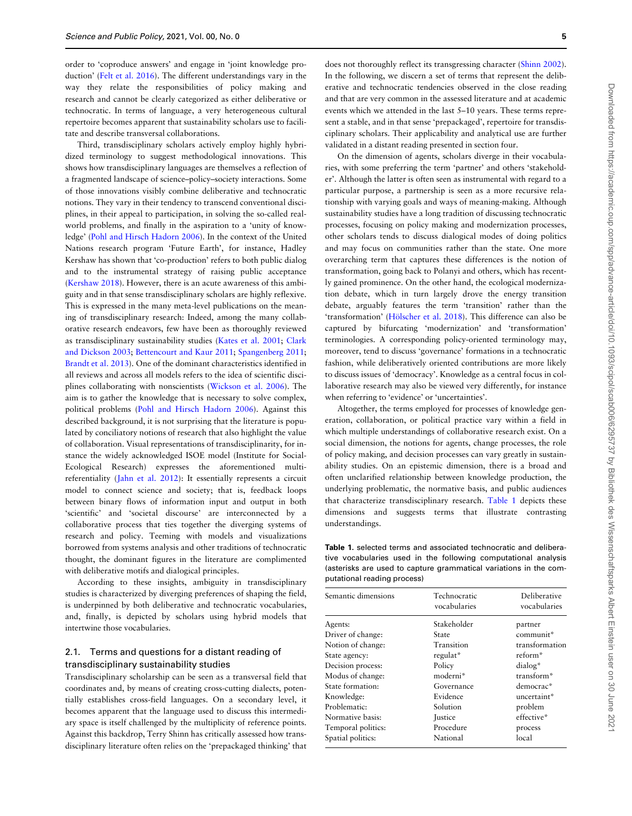<span id="page-4-0"></span>order to 'coproduce answers' and engage in 'joint knowledge production' ([Felt et al. 2016\)](#page-12-0). The different understandings vary in the way they relate the responsibilities of policy making and research and cannot be clearly categorized as either deliberative or technocratic. In terms of language, a very heterogeneous cultural repertoire becomes apparent that sustainability scholars use to facilitate and describe transversal collaborations.

Third, transdisciplinary scholars actively employ highly hybridized terminology to suggest methodological innovations. This shows how transdisciplinary languages are themselves a reflection of a fragmented landscape of science–policy–society interactions. Some of those innovations visibly combine deliberative and technocratic notions. They vary in their tendency to transcend conventional disciplines, in their appeal to participation, in solving the so-called realworld problems, and finally in the aspiration to a 'unity of knowledge' [\(Pohl and Hirsch Hadorn 2006\)](#page-13-0). In the context of the United Nations research program 'Future Earth', for instance, Hadley Kershaw has shown that 'co-production' refers to both public dialog and to the instrumental strategy of raising public acceptance ([Kershaw 2018\)](#page-12-0). However, there is an acute awareness of this ambiguity and in that sense transdisciplinary scholars are highly reflexive. This is expressed in the many meta-level publications on the meaning of transdisciplinary research: Indeed, among the many collaborative research endeavors, few have been as thoroughly reviewed as transdisciplinary sustainability studies ([Kates et al. 2001](#page-12-0); [Clark](#page-11-0) [and Dickson 2003;](#page-11-0) [Bettencourt and Kaur 2011](#page-11-0); [Spangenberg 2011;](#page-13-0) [Brandt et al. 2013\)](#page-11-0). One of the dominant characteristics identified in all reviews and across all models refers to the idea of scientific disciplines collaborating with nonscientists ([Wickson et al. 2006\)](#page-13-0). The aim is to gather the knowledge that is necessary to solve complex, political problems ([Pohl and Hirsch Hadorn 2006\)](#page-13-0). Against this described background, it is not surprising that the literature is populated by conciliatory notions of research that also highlight the value of collaboration. Visual representations of transdisciplinarity, for instance the widely acknowledged ISOE model (Institute for Social-Ecological Research) expresses the aforementioned multireferentiality [\(Jahn et al. 2012\)](#page-12-0): It essentially represents a circuit model to connect science and society; that is, feedback loops between binary flows of information input and output in both 'scientific' and 'societal discourse' are interconnected by a collaborative process that ties together the diverging systems of research and policy. Teeming with models and visualizations borrowed from systems analysis and other traditions of technocratic thought, the dominant figures in the literature are complimented with deliberative motifs and dialogical principles.

According to these insights, ambiguity in transdisciplinary studies is characterized by diverging preferences of shaping the field, is underpinned by both deliberative and technocratic vocabularies, and, finally, is depicted by scholars using hybrid models that intertwine those vocabularies.

# 2.1. Terms and questions for a distant reading of transdisciplinary sustainability studies

Transdisciplinary scholarship can be seen as a transversal field that coordinates and, by means of creating cross-cutting dialects, potentially establishes cross-field languages. On a secondary level, it becomes apparent that the language used to discuss this intermediary space is itself challenged by the multiplicity of reference points. Against this backdrop, Terry Shinn has critically assessed how transdisciplinary literature often relies on the 'prepackaged thinking' that

does not thoroughly reflect its transgressing character ([Shinn 2002](#page-13-0)). In the following, we discern a set of terms that represent the deliberative and technocratic tendencies observed in the close reading and that are very common in the assessed literature and at academic events which we attended in the last 5–10 years. These terms represent a stable, and in that sense 'prepackaged', repertoire for transdisciplinary scholars. Their applicability and analytical use are further validated in a distant reading presented in section four.

On the dimension of agents, scholars diverge in their vocabularies, with some preferring the term 'partner' and others 'stakeholder'. Although the latter is often seen as instrumental with regard to a particular purpose, a partnership is seen as a more recursive relationship with varying goals and ways of meaning-making. Although sustainability studies have a long tradition of discussing technocratic processes, focusing on policy making and modernization processes, other scholars tends to discuss dialogical modes of doing politics and may focus on communities rather than the state. One more overarching term that captures these differences is the notion of transformation, going back to Polanyi and others, which has recently gained prominence. On the other hand, the ecological modernization debate, which in turn largely drove the energy transition debate, arguably features the term 'transition' rather than the 'transformation' (Hölscher et al. 2018). This difference can also be captured by bifurcating 'modernization' and 'transformation' terminologies. A corresponding policy-oriented terminology may, moreover, tend to discuss 'governance' formations in a technocratic fashion, while deliberatively oriented contributions are more likely to discuss issues of 'democracy'. Knowledge as a central focus in collaborative research may also be viewed very differently, for instance when referring to 'evidence' or 'uncertainties'.

Altogether, the terms employed for processes of knowledge generation, collaboration, or political practice vary within a field in which multiple understandings of collaborative research exist. On a social dimension, the notions for agents, change processes, the role of policy making, and decision processes can vary greatly in sustainability studies. On an epistemic dimension, there is a broad and often unclarified relationship between knowledge production, the underlying problematic, the normative basis, and public audiences that characterize transdisciplinary research. Table 1 depicts these dimensions and suggests terms that illustrate contrasting understandings.

Table 1. selected terms and associated technocratic and deliberative vocabularies used in the following computational analysis (asterisks are used to capture grammatical variations in the computational reading process)

| Semantic dimensions | Technocratic<br>vocabularies | Deliberative<br>vocabularies |
|---------------------|------------------------------|------------------------------|
| Agents:             | Stakeholder                  | partner                      |
| Driver of change:   | State                        | communit*                    |
| Notion of change:   | Transition                   | transformation               |
| State agency:       | regulat*                     | reform*                      |
| Decision process:   | Policy                       | dialog*                      |
| Modus of change:    | moderni*                     | transform*                   |
| State formation:    | Governance                   | democrac*                    |
| Knowledge:          | Evidence                     | uncertaint*                  |
| Problematic:        | Solution                     | problem                      |
| Normative basis:    | <b>Iustice</b>               | effective*                   |
| Temporal politics:  | Procedure                    | process                      |
| Spatial politics:   | National                     | local                        |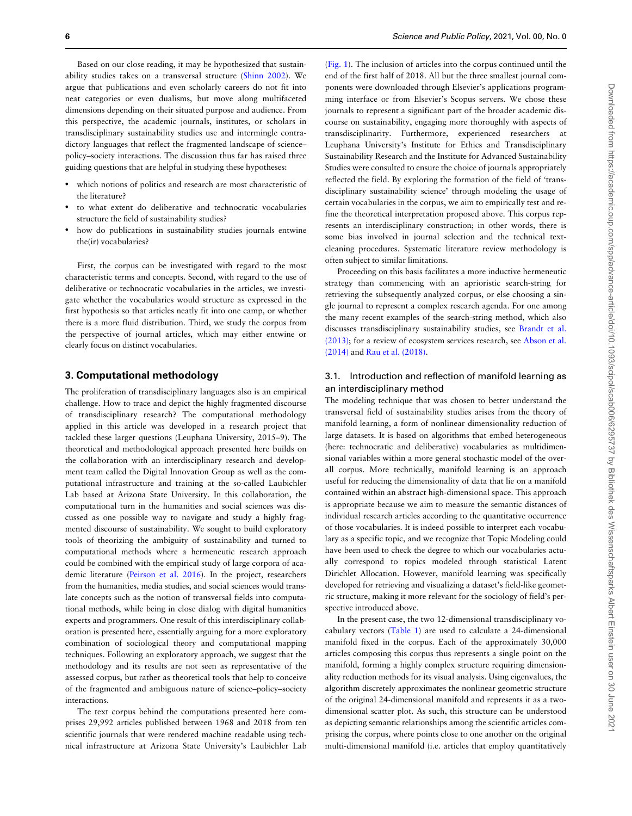Based on our close reading, it may be hypothesized that sustainability studies takes on a transversal structure ([Shinn 2002\)](#page-13-0). We argue that publications and even scholarly careers do not fit into neat categories or even dualisms, but move along multifaceted dimensions depending on their situated purpose and audience. From this perspective, the academic journals, institutes, or scholars in transdisciplinary sustainability studies use and intermingle contradictory languages that reflect the fragmented landscape of science– policy–society interactions. The discussion thus far has raised three guiding questions that are helpful in studying these hypotheses:

- which notions of politics and research are most characteristic of the literature?
- to what extent do deliberative and technocratic vocabularies structure the field of sustainability studies?
- how do publications in sustainability studies journals entwine the(ir) vocabularies?

First, the corpus can be investigated with regard to the most characteristic terms and concepts. Second, with regard to the use of deliberative or technocratic vocabularies in the articles, we investigate whether the vocabularies would structure as expressed in the first hypothesis so that articles neatly fit into one camp, or whether there is a more fluid distribution. Third, we study the corpus from the perspective of journal articles, which may either entwine or clearly focus on distinct vocabularies.

## 3. Computational methodology

The proliferation of transdisciplinary languages also is an empirical challenge. How to trace and depict the highly fragmented discourse of transdisciplinary research? The computational methodology applied in this article was developed in a research project that tackled these larger questions (Leuphana University, 2015–9). The theoretical and methodological approach presented here builds on the collaboration with an interdisciplinary research and development team called the Digital Innovation Group as well as the computational infrastructure and training at the so-called Laubichler Lab based at Arizona State University. In this collaboration, the computational turn in the humanities and social sciences was discussed as one possible way to navigate and study a highly fragmented discourse of sustainability. We sought to build exploratory tools of theorizing the ambiguity of sustainability and turned to computational methods where a hermeneutic research approach could be combined with the empirical study of large corpora of academic literature ([Peirson et al. 2016\)](#page-13-0). In the project, researchers from the humanities, media studies, and social sciences would translate concepts such as the notion of transversal fields into computational methods, while being in close dialog with digital humanities experts and programmers. One result of this interdisciplinary collaboration is presented here, essentially arguing for a more exploratory combination of sociological theory and computational mapping techniques. Following an exploratory approach, we suggest that the methodology and its results are not seen as representative of the assessed corpus, but rather as theoretical tools that help to conceive of the fragmented and ambiguous nature of science–policy–society interactions.

The text corpus behind the computations presented here comprises 29,992 articles published between 1968 and 2018 from ten scientific journals that were rendered machine readable using technical infrastructure at Arizona State University's Laubichler Lab

([Fig. 1](#page-6-0)). The inclusion of articles into the corpus continued until the end of the first half of 2018. All but the three smallest journal components were downloaded through Elsevier's applications programming interface or from Elsevier's Scopus servers. We chose these journals to represent a significant part of the broader academic discourse on sustainability, engaging more thoroughly with aspects of transdisciplinarity. Furthermore, experienced researchers at Leuphana University's Institute for Ethics and Transdisciplinary Sustainability Research and the Institute for Advanced Sustainability Studies were consulted to ensure the choice of journals appropriately reflected the field. By exploring the formation of the field of 'transdisciplinary sustainability science' through modeling the usage of certain vocabularies in the corpus, we aim to empirically test and refine the theoretical interpretation proposed above. This corpus represents an interdisciplinary construction; in other words, there is some bias involved in journal selection and the technical textcleaning procedures. Systematic literature review methodology is often subject to similar limitations.

Proceeding on this basis facilitates a more inductive hermeneutic strategy than commencing with an aprioristic search-string for retrieving the subsequently analyzed corpus, or else choosing a single journal to represent a complex research agenda. For one among the many recent examples of the search-string method, which also discusses transdisciplinary sustainability studies, see [Brandt et al.](#page-11-0) [\(2013\)](#page-11-0); for a review of ecosystem services research, see Abson et al. (2014) and [Rau et al. \(2018\).](#page-13-0)

# 3.1. Introduction and reflection of manifold learning as an interdisciplinary method

The modeling technique that was chosen to better understand the transversal field of sustainability studies arises from the theory of manifold learning, a form of nonlinear dimensionality reduction of large datasets. It is based on algorithms that embed heterogeneous (here: technocratic and deliberative) vocabularies as multidimensional variables within a more general stochastic model of the overall corpus. More technically, manifold learning is an approach useful for reducing the dimensionality of data that lie on a manifold contained within an abstract high-dimensional space. This approach is appropriate because we aim to measure the semantic distances of individual research articles according to the quantitative occurrence of those vocabularies. It is indeed possible to interpret each vocabulary as a specific topic, and we recognize that Topic Modeling could have been used to check the degree to which our vocabularies actually correspond to topics modeled through statistical Latent Dirichlet Allocation. However, manifold learning was specifically developed for retrieving and visualizing a dataset's field-like geometric structure, making it more relevant for the sociology of field's perspective introduced above.

In the present case, the two 12-dimensional transdisciplinary vocabulary vectors ([Table 1\)](#page-4-0) are used to calculate a 24-dimensional manifold fixed in the corpus. Each of the approximately 30,000 articles composing this corpus thus represents a single point on the manifold, forming a highly complex structure requiring dimensionality reduction methods for its visual analysis. Using eigenvalues, the algorithm discretely approximates the nonlinear geometric structure of the original 24-dimensional manifold and represents it as a twodimensional scatter plot. As such, this structure can be understood as depicting semantic relationships among the scientific articles comprising the corpus, where points close to one another on the original multi-dimensional manifold (i.e. articles that employ quantitatively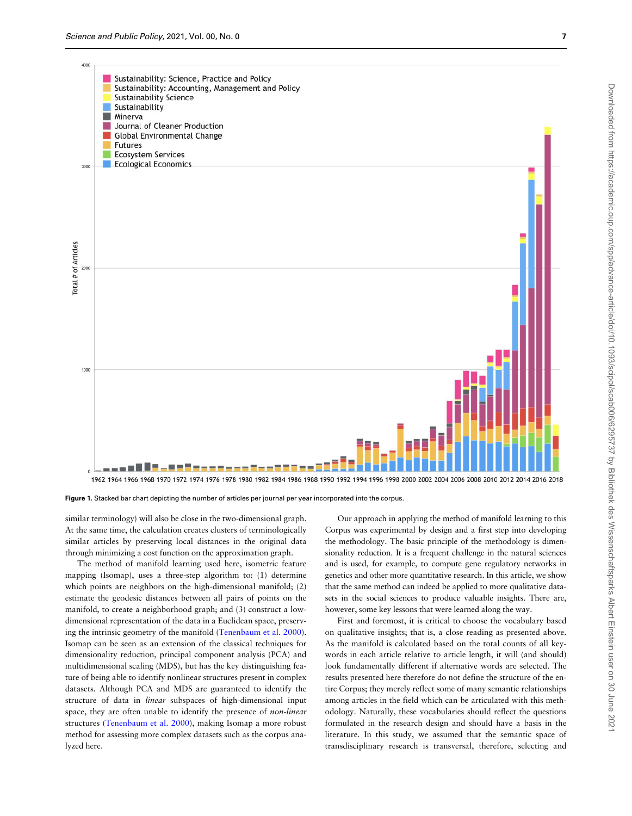<span id="page-6-0"></span>

Figure 1. Stacked bar chart depicting the number of articles per journal per year incorporated into the corpus.

similar terminology) will also be close in the two-dimensional graph. At the same time, the calculation creates clusters of terminologically similar articles by preserving local distances in the original data through minimizing a cost function on the approximation graph.

The method of manifold learning used here, isometric feature mapping (Isomap), uses a three-step algorithm to: (1) determine which points are neighbors on the high-dimensional manifold; (2) estimate the geodesic distances between all pairs of points on the manifold, to create a neighborhood graph; and (3) construct a lowdimensional representation of the data in a Euclidean space, preserving the intrinsic geometry of the manifold [\(Tenenbaum et al. 2000](#page-13-0)). Isomap can be seen as an extension of the classical techniques for dimensionality reduction, principal component analysis (PCA) and multidimensional scaling (MDS), but has the key distinguishing feature of being able to identify nonlinear structures present in complex datasets. Although PCA and MDS are guaranteed to identify the structure of data in linear subspaces of high-dimensional input space, they are often unable to identify the presence of *non-linear* structures [\(Tenenbaum et al. 2000\)](#page-13-0), making Isomap a more robust method for assessing more complex datasets such as the corpus analyzed here.

Our approach in applying the method of manifold learning to this Corpus was experimental by design and a first step into developing the methodology. The basic principle of the methodology is dimensionality reduction. It is a frequent challenge in the natural sciences and is used, for example, to compute gene regulatory networks in genetics and other more quantitative research. In this article, we show that the same method can indeed be applied to more qualitative datasets in the social sciences to produce valuable insights. There are, however, some key lessons that were learned along the way.

First and foremost, it is critical to choose the vocabulary based on qualitative insights; that is, a close reading as presented above. As the manifold is calculated based on the total counts of all keywords in each article relative to article length, it will (and should) look fundamentally different if alternative words are selected. The results presented here therefore do not define the structure of the entire Corpus; they merely reflect some of many semantic relationships among articles in the field which can be articulated with this methodology. Naturally, these vocabularies should reflect the questions formulated in the research design and should have a basis in the literature. In this study, we assumed that the semantic space of transdisciplinary research is transversal, therefore, selecting and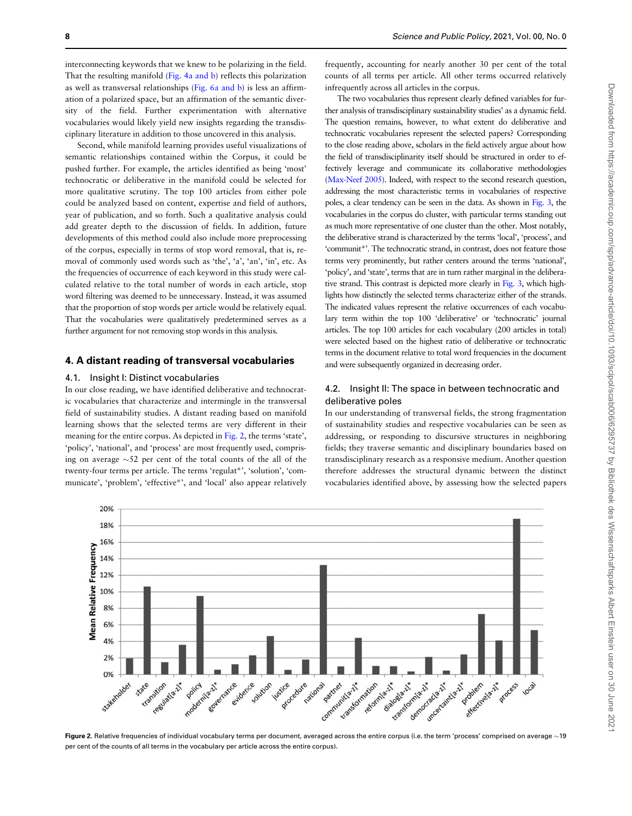interconnecting keywords that we knew to be polarizing in the field. That the resulting manifold [\(Fig. 4a and b\)](#page-9-0) reflects this polarization as well as transversal relationships [\(Fig. 6a and b](#page-9-0)) is less an affirmation of a polarized space, but an affirmation of the semantic diversity of the field. Further experimentation with alternative vocabularies would likely yield new insights regarding the transdisciplinary literature in addition to those uncovered in this analysis.

Second, while manifold learning provides useful visualizations of semantic relationships contained within the Corpus, it could be pushed further. For example, the articles identified as being 'most' technocratic or deliberative in the manifold could be selected for more qualitative scrutiny. The top 100 articles from either pole could be analyzed based on content, expertise and field of authors, year of publication, and so forth. Such a qualitative analysis could add greater depth to the discussion of fields. In addition, future developments of this method could also include more preprocessing of the corpus, especially in terms of stop word removal, that is, removal of commonly used words such as 'the', 'a', 'an', 'in', etc. As the frequencies of occurrence of each keyword in this study were calculated relative to the total number of words in each article, stop word filtering was deemed to be unnecessary. Instead, it was assumed that the proportion of stop words per article would be relatively equal. That the vocabularies were qualitatively predetermined serves as a further argument for not removing stop words in this analysis.

#### 4. A distant reading of transversal vocabularies

#### 4.1. Insight I: Distinct vocabularies

In our close reading, we have identified deliberative and technocratic vocabularies that characterize and intermingle in the transversal field of sustainability studies. A distant reading based on manifold learning shows that the selected terms are very different in their meaning for the entire corpus. As depicted in Fig. 2, the terms 'state', 'policy', 'national', and 'process' are most frequently used, comprising on average  $\sim$ 52 per cent of the total counts of the all of the twenty-four terms per article. The terms 'regulat\*', 'solution', 'communicate', 'problem', 'effective\*', and 'local' also appear relatively

frequently, accounting for nearly another 30 per cent of the total counts of all terms per article. All other terms occurred relatively infrequently across all articles in the corpus.

The two vocabularies thus represent clearly defined variables for further analysis of transdisciplinary sustainability studies' as a dynamic field. The question remains, however, to what extent do deliberative and technocratic vocabularies represent the selected papers? Corresponding to the close reading above, scholars in the field actively argue about how the field of transdisciplinarity itself should be structured in order to effectively leverage and communicate its collaborative methodologies ([Max-Neef 2005](#page-12-0)). Indeed, with respect to the second research question, addressing the most characteristic terms in vocabularies of respective poles, a clear tendency can be seen in the data. As shown in [Fig. 3](#page-8-0), the vocabularies in the corpus do cluster, with particular terms standing out as much more representative of one cluster than the other. Most notably, the deliberative strand is characterized by the terms 'local', 'process', and 'communit\*'. The technocratic strand, in contrast, does not feature those terms very prominently, but rather centers around the terms 'national', 'policy', and 'state', terms that are in turn rather marginal in the deliberative strand. This contrast is depicted more clearly in [Fig. 3,](#page-8-0) which highlights how distinctly the selected terms characterize either of the strands. The indicated values represent the relative occurrences of each vocabulary term within the top 100 'deliberative' or 'technocratic' journal articles. The top 100 articles for each vocabulary (200 articles in total) were selected based on the highest ratio of deliberative or technocratic terms in the document relative to total word frequencies in the document and were subsequently organized in decreasing order.

# 4.2. Insight II: The space in between technocratic and deliberative poles

In our understanding of transversal fields, the strong fragmentation of sustainability studies and respective vocabularies can be seen as addressing, or responding to discursive structures in neighboring fields; they traverse semantic and disciplinary boundaries based on transdisciplinary research as a responsive medium. Another question therefore addresses the structural dynamic between the distinct vocabularies identified above, by assessing how the selected papers



**Figure 2.** Relative frequencies of individual vocabulary terms per document, averaged across the entire corpus (i.e. the term 'process' comprised on average  ${\sim}$ 19 per cent of the counts of all terms in the vocabulary per article across the entire corpus).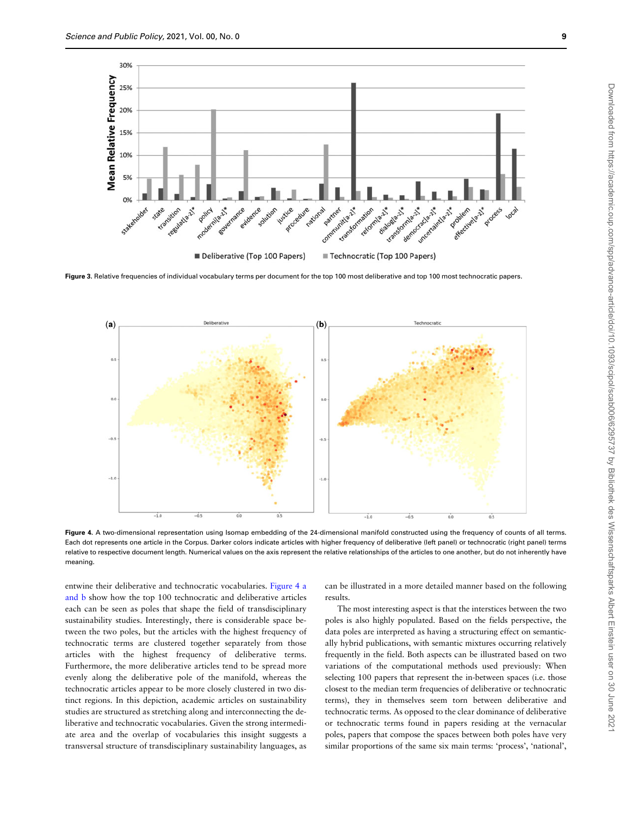<span id="page-8-0"></span>

Figure 3. Relative frequencies of individual vocabulary terms per document for the top 100 most deliberative and top 100 most technocratic papers.



Figure 4. A two-dimensional representation using Isomap embedding of the 24-dimensional manifold constructed using the frequency of counts of all terms. Each dot represents one article in the Corpus. Darker colors indicate articles with higher frequency of deliberative (left panel) or technocratic (right panel) terms relative to respective document length. Numerical values on the axis represent the relative relationships of the articles to one another, but do not inherently have meaning.

entwine their deliberative and technocratic vocabularies. Figure 4 a and b show how the top 100 technocratic and deliberative articles each can be seen as poles that shape the field of transdisciplinary sustainability studies. Interestingly, there is considerable space between the two poles, but the articles with the highest frequency of technocratic terms are clustered together separately from those articles with the highest frequency of deliberative terms. Furthermore, the more deliberative articles tend to be spread more evenly along the deliberative pole of the manifold, whereas the technocratic articles appear to be more closely clustered in two distinct regions. In this depiction, academic articles on sustainability studies are structured as stretching along and interconnecting the deliberative and technocratic vocabularies. Given the strong intermediate area and the overlap of vocabularies this insight suggests a transversal structure of transdisciplinary sustainability languages, as can be illustrated in a more detailed manner based on the following results.

The most interesting aspect is that the interstices between the two poles is also highly populated. Based on the fields perspective, the data poles are interpreted as having a structuring effect on semantically hybrid publications, with semantic mixtures occurring relatively frequently in the field. Both aspects can be illustrated based on two variations of the computational methods used previously: When selecting 100 papers that represent the in-between spaces (i.e. those closest to the median term frequencies of deliberative or technocratic terms), they in themselves seem torn between deliberative and technocratic terms. As opposed to the clear dominance of deliberative or technocratic terms found in papers residing at the vernacular poles, papers that compose the spaces between both poles have very similar proportions of the same six main terms: 'process', 'national',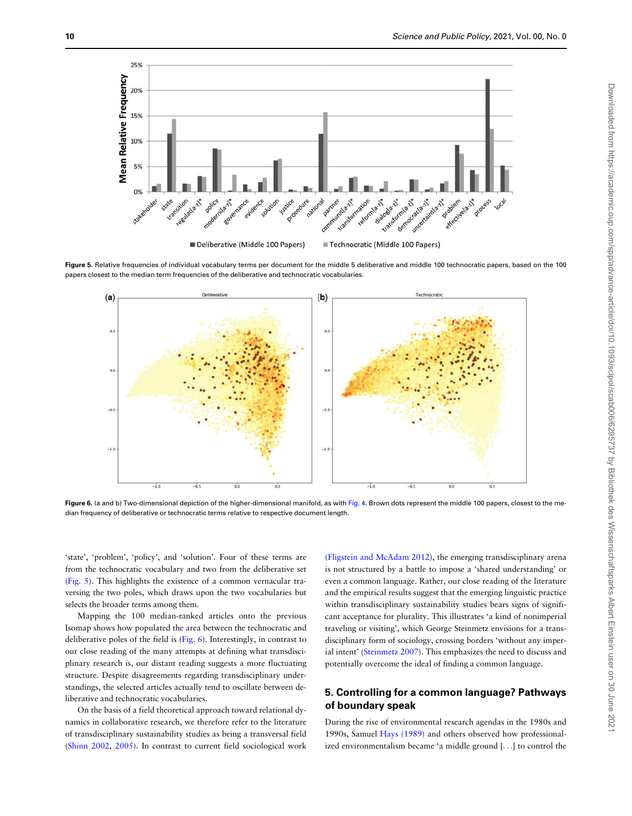<span id="page-9-0"></span>

Figure 5. Relative frequencies of individual vocabulary terms per document for the middle 5 deliberative and middle 100 technocratic papers, based on the 100 papers closest to the median term frequencies of the deliberative and technocratic vocabularies.



Figure 6. (a and b) Two-dimensional depiction of the higher-dimensional manifold, as with [Fig. 4](#page-8-0). Brown dots represent the middle 100 papers, closest to the median frequency of deliberative or technocratic terms relative to respective document length.

'state', 'problem', 'policy', and 'solution'. Four of these terms are from the technocratic vocabulary and two from the deliberative set (Fig. 5). This highlights the existence of a common vernacular traversing the two poles, which draws upon the two vocabularies but selects the broader terms among them.

Mapping the 100 median-ranked articles onto the previous Isomap shows how populated the area between the technocratic and deliberative poles of the field is (Fig. 6). Interestingly, in contrast to our close reading of the many attempts at defining what transdisciplinary research is, our distant reading suggests a more fluctuating structure. Despite disagreements regarding transdisciplinary understandings, the selected articles actually tend to oscillate between deliberative and technocratic vocabularies.

On the basis of a field theoretical approach toward relational dynamics in collaborative research, we therefore refer to the literature of transdisciplinary sustainability studies as being a transversal field ([Shinn 2002](#page-13-0), [2005](#page-13-0)). In contrast to current field sociological work

([Fligstein and McAdam 2012](#page-12-0)), the emerging transdisciplinary arena is not structured by a battle to impose a 'shared understanding' or even a common language. Rather, our close reading of the literature and the empirical results suggest that the emerging linguistic practice within transdisciplinary sustainability studies bears signs of significant acceptance for plurality. This illustrates 'a kind of nonimperial traveling or visiting', which George Steinmetz envisions for a transdisciplinary form of sociology, crossing borders 'without any imperial intent' ([Steinmetz 2007\)](#page-13-0). This emphasizes the need to discuss and potentially overcome the ideal of finding a common language.

# 5. Controlling for a common language? Pathways of boundary speak

During the rise of environmental research agendas in the 1980s and 1990s, Samuel [Hays \(1989\)](#page-12-0) and others observed how professionalized environmentalism became 'a middle ground [...] to control the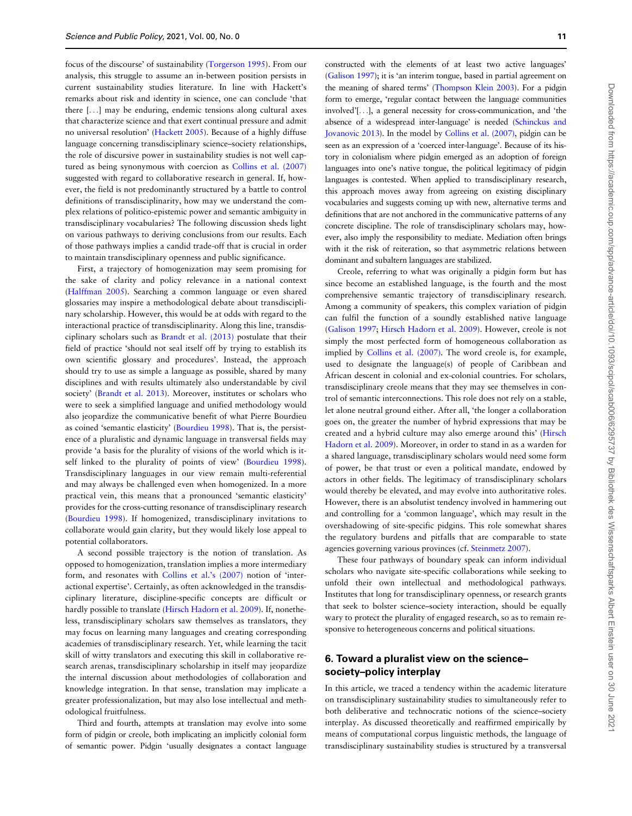focus of the discourse' of sustainability [\(Torgerson 1995](#page-13-0)). From our analysis, this struggle to assume an in-between position persists in current sustainability studies literature. In line with Hackett's remarks about risk and identity in science, one can conclude 'that there [...] may be enduring, endemic tensions along cultural axes that characterize science and that exert continual pressure and admit no universal resolution' ([Hackett 2005](#page-12-0)). Because of a highly diffuse language concerning transdisciplinary science–society relationships, the role of discursive power in sustainability studies is not well captured as being synonymous with coercion as [Collins et al. \(2007\)](#page-11-0) suggested with regard to collaborative research in general. If, however, the field is not predominantly structured by a battle to control definitions of transdisciplinarity, how may we understand the complex relations of politico-epistemic power and semantic ambiguity in transdisciplinary vocabularies? The following discussion sheds light on various pathways to deriving conclusions from our results. Each of those pathways implies a candid trade-off that is crucial in order to maintain transdisciplinary openness and public significance.

First, a trajectory of homogenization may seem promising for the sake of clarity and policy relevance in a national context ([Halffman 2005\)](#page-12-0). Searching a common language or even shared glossaries may inspire a methodological debate about transdisciplinary scholarship. However, this would be at odds with regard to the interactional practice of transdisciplinarity. Along this line, transdisciplinary scholars such as [Brandt et al. \(2013\)](#page-11-0) postulate that their field of practice 'should not seal itself off by trying to establish its own scientific glossary and procedures'. Instead, the approach should try to use as simple a language as possible, shared by many disciplines and with results ultimately also understandable by civil society' ([Brandt et al. 2013](#page-11-0)). Moreover, institutes or scholars who were to seek a simplified language and unified methodology would also jeopardize the communicative benefit of what Pierre Bourdieu as coined 'semantic elasticity' ([Bourdieu 1998](#page-11-0)). That is, the persistence of a pluralistic and dynamic language in transversal fields may provide 'a basis for the plurality of visions of the world which is itself linked to the plurality of points of view' ([Bourdieu 1998](#page-11-0)). Transdisciplinary languages in our view remain multi-referential and may always be challenged even when homogenized. In a more practical vein, this means that a pronounced 'semantic elasticity' provides for the cross-cutting resonance of transdisciplinary research ([Bourdieu 1998\)](#page-11-0). If homogenized, transdisciplinary invitations to collaborate would gain clarity, but they would likely lose appeal to potential collaborators.

A second possible trajectory is the notion of translation. As opposed to homogenization, translation implies a more intermediary form, and resonates with [Collins et al.'s \(2007\)](#page-11-0) notion of 'interactional expertise'. Certainly, as often acknowledged in the transdisciplinary literature, discipline-specific concepts are difficult or hardly possible to translate [\(Hirsch Hadorn et al. 2009\)](#page-12-0). If, nonetheless, transdisciplinary scholars saw themselves as translators, they may focus on learning many languages and creating corresponding academies of transdisciplinary research. Yet, while learning the tacit skill of witty translators and executing this skill in collaborative research arenas, transdisciplinary scholarship in itself may jeopardize the internal discussion about methodologies of collaboration and knowledge integration. In that sense, translation may implicate a greater professionalization, but may also lose intellectual and methodological fruitfulness.

Third and fourth, attempts at translation may evolve into some form of pidgin or creole, both implicating an implicitly colonial form of semantic power. Pidgin 'usually designates a contact language constructed with the elements of at least two active languages' ([Galison 1997\)](#page-12-0); it is 'an interim tongue, based in partial agreement on the meaning of shared terms' [\(Thompson Klein 2003\)](#page-13-0). For a pidgin form to emerge, 'regular contact between the language communities involved'[...], a general necessity for cross-communication, and 'the absence of a widespread inter-language' is needed [\(Schinckus and](#page-13-0) [Jovanovic 2013\)](#page-13-0). In the model by [Collins et al. \(2007\),](#page-11-0) pidgin can be seen as an expression of a 'coerced inter-language'. Because of its history in colonialism where pidgin emerged as an adoption of foreign languages into one's native tongue, the political legitimacy of pidgin languages is contested. When applied to transdisciplinary research, this approach moves away from agreeing on existing disciplinary vocabularies and suggests coming up with new, alternative terms and definitions that are not anchored in the communicative patterns of any concrete discipline. The role of transdisciplinary scholars may, however, also imply the responsibility to mediate. Mediation often brings with it the risk of reiteration, so that asymmetric relations between dominant and subaltern languages are stabilized.

Creole, referring to what was originally a pidgin form but has since become an established language, is the fourth and the most comprehensive semantic trajectory of transdisciplinary research. Among a community of speakers, this complex variation of pidgin can fulfil the function of a soundly established native language ([Galison 1997;](#page-12-0) [Hirsch Hadorn et al. 2009\)](#page-12-0). However, creole is not simply the most perfected form of homogeneous collaboration as implied by [Collins et al. \(2007\)](#page-11-0). The word creole is, for example, used to designate the language(s) of people of Caribbean and African descent in colonial and ex-colonial countries. For scholars, transdisciplinary creole means that they may see themselves in control of semantic interconnections. This role does not rely on a stable, let alone neutral ground either. After all, 'the longer a collaboration goes on, the greater the number of hybrid expressions that may be created and a hybrid culture may also emerge around this' [\(Hirsch](#page-12-0) [Hadorn et al. 2009](#page-12-0)). Moreover, in order to stand in as a warden for a shared language, transdisciplinary scholars would need some form of power, be that trust or even a political mandate, endowed by actors in other fields. The legitimacy of transdisciplinary scholars would thereby be elevated, and may evolve into authoritative roles. However, there is an absolutist tendency involved in hammering out and controlling for a 'common language', which may result in the overshadowing of site-specific pidgins. This role somewhat shares the regulatory burdens and pitfalls that are comparable to state agencies governing various provinces (cf. [Steinmetz 2007\)](#page-13-0).

These four pathways of boundary speak can inform individual scholars who navigate site-specific collaborations while seeking to unfold their own intellectual and methodological pathways. Institutes that long for transdisciplinary openness, or research grants that seek to bolster science–society interaction, should be equally wary to protect the plurality of engaged research, so as to remain responsive to heterogeneous concerns and political situations.

# 6. Toward a pluralist view on the science– society–policy interplay

In this article, we traced a tendency within the academic literature on transdisciplinary sustainability studies to simultaneously refer to both deliberative and technocratic notions of the science–society interplay. As discussed theoretically and reaffirmed empirically by means of computational corpus linguistic methods, the language of transdisciplinary sustainability studies is structured by a transversal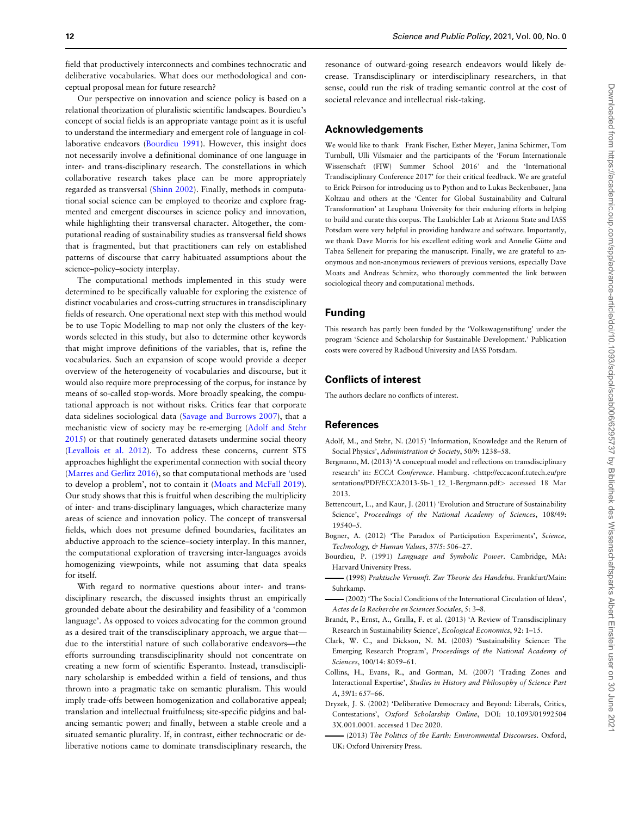<span id="page-11-0"></span>field that productively interconnects and combines technocratic and deliberative vocabularies. What does our methodological and conceptual proposal mean for future research?

Our perspective on innovation and science policy is based on a relational theorization of pluralistic scientific landscapes. Bourdieu's concept of social fields is an appropriate vantage point as it is useful to understand the intermediary and emergent role of language in collaborative endeavors (Bourdieu 1991). However, this insight does not necessarily involve a definitional dominance of one language in inter- and trans-disciplinary research. The constellations in which collaborative research takes place can be more appropriately regarded as transversal ([Shinn 2002\)](#page-13-0). Finally, methods in computational social science can be employed to theorize and explore fragmented and emergent discourses in science policy and innovation, while highlighting their transversal character. Altogether, the computational reading of sustainability studies as transversal field shows that is fragmented, but that practitioners can rely on established patterns of discourse that carry habituated assumptions about the science–policy–society interplay.

The computational methods implemented in this study were determined to be specifically valuable for exploring the existence of distinct vocabularies and cross-cutting structures in transdisciplinary fields of research. One operational next step with this method would be to use Topic Modelling to map not only the clusters of the keywords selected in this study, but also to determine other keywords that might improve definitions of the variables, that is, refine the vocabularies. Such an expansion of scope would provide a deeper overview of the heterogeneity of vocabularies and discourse, but it would also require more preprocessing of the corpus, for instance by means of so-called stop-words. More broadly speaking, the computational approach is not without risks. Critics fear that corporate data sidelines sociological data ([Savage and Burrows 2007\)](#page-13-0), that a mechanistic view of society may be re-emerging (Adolf and Stehr 2015) or that routinely generated datasets undermine social theory ([Levallois et al. 2012](#page-12-0)). To address these concerns, current STS approaches highlight the experimental connection with social theory ([Marres and Gerlitz 2016\)](#page-12-0), so that computational methods are 'used to develop a problem', not to contain it [\(Moats and McFall 2019](#page-12-0)). Our study shows that this is fruitful when describing the multiplicity of inter- and trans-disciplinary languages, which characterize many areas of science and innovation policy. The concept of transversal fields, which does not presume defined boundaries, facilitates an abductive approach to the science–society interplay. In this manner, the computational exploration of traversing inter-languages avoids homogenizing viewpoints, while not assuming that data speaks for itself.

With regard to normative questions about inter- and transdisciplinary research, the discussed insights thrust an empirically grounded debate about the desirability and feasibility of a 'common language'. As opposed to voices advocating for the common ground as a desired trait of the transdisciplinary approach, we argue that due to the interstitial nature of such collaborative endeavors—the efforts surrounding transdisciplinarity should not concentrate on creating a new form of scientific Esperanto. Instead, transdisciplinary scholarship is embedded within a field of tensions, and thus thrown into a pragmatic take on semantic pluralism. This would imply trade-offs between homogenization and collaborative appeal; translation and intellectual fruitfulness; site-specific pidgins and balancing semantic power; and finally, between a stable creole and a situated semantic plurality. If, in contrast, either technocratic or deliberative notions came to dominate transdisciplinary research, the

resonance of outward-going research endeavors would likely decrease. Transdisciplinary or interdisciplinary researchers, in that sense, could run the risk of trading semantic control at the cost of societal relevance and intellectual risk-taking.

#### Acknowledgements

We would like to thank Frank Fischer, Esther Meyer, Janina Schirmer, Tom Turnbull, Ulli Vilsmaier and the participants of the 'Forum Internationale Wissenschaft (FIW) Summer School 2016' and the 'International Trandisciplinary Conference 2017' for their critical feedback. We are grateful to Erick Peirson for introducing us to Python and to Lukas Beckenbauer, Jana Koltzau and others at the 'Center for Global Sustainability and Cultural Transformation' at Leuphana University for their enduring efforts in helping to build and curate this corpus. The Laubichler Lab at Arizona State and IASS Potsdam were very helpful in providing hardware and software. Importantly, we thank Dave Morris for his excellent editing work and Annelie Gütte and Tabea Selleneit for preparing the manuscript. Finally, we are grateful to anonymous and non-anonymous reviewers of previous versions, especially Dave Moats and Andreas Schmitz, who thorougly commented the link between sociological theory and computational methods.

# Funding

This research has partly been funded by the 'Volkswagenstiftung' under the program 'Science and Scholarship for Sustainable Development.' Publication costs were covered by Radboud University and IASS Potsdam.

## Conflicts of interest

The authors declare no conflicts of interest.

#### References

- Adolf, M., and Stehr, N. (2015) 'Information, Knowledge and the Return of Social Physics', Administration & Society, 50/9: 1238-58.
- Bergmann, M. (2013) 'A conceptual model and reflections on transdisciplinary research' in: ECCA Conference. Hamburg. <[http://eccaconf.tutech.eu/pre](http://eccaconf.tutech.eu/presentations/PDF/ECCA2013-5b-1_12_1-Bergmann.pdf) [sentations/PDF/ECCA2013-5b-1\\_12\\_1-Bergmann.pdf](http://eccaconf.tutech.eu/presentations/PDF/ECCA2013-5b-1_12_1-Bergmann.pdf)> accessed 18 Mar 2013.
- Bettencourt, L., and Kaur, J. (2011) 'Evolution and Structure of Sustainability Science', Proceedings of the National Academy of Sciences, 108/49: 19540–5.
- Bogner, A. (2012) 'The Paradox of Participation Experiments', Science, Technology, & Human Values, 37/5: 506-27.
- Bourdieu, P. (1991) Language and Symbolic Power. Cambridge, MA: Harvard University Press.
- (1998) Praktische Vernunft. Zur Theorie des Handelns. Frankfurt/Main: Suhrkamp.
- (2002) 'The Social Conditions of the International Circulation of Ideas', Actes de la Recherche en Sciences Sociales, 5: 3–8.
- Brandt, P., Ernst, A., Gralla, F. et al. (2013) 'A Review of Transdisciplinary Research in Sustainability Science', Ecological Economics, 92: 1–15.
- Clark, W. C., and Dickson, N. M. (2003) 'Sustainability Science: The Emerging Research Program', Proceedings of the National Academy of Sciences, 100/14: 8059–61.
- Collins, H., Evans, R., and Gorman, M. (2007) 'Trading Zones and Interactional Expertise', Studies in History and Philosophy of Science Part A, 39/1: 657–66.
- Dryzek, J. S. (2002) 'Deliberative Democracy and Beyond: Liberals, Critics, Contestations', Oxford Scholarship Online, DOI: 10.1093/01992504 3X.001.0001. accessed 1 Dec 2020.
- (2013) The Politics of the Earth: Environmental Discourses. Oxford, UK: Oxford University Press.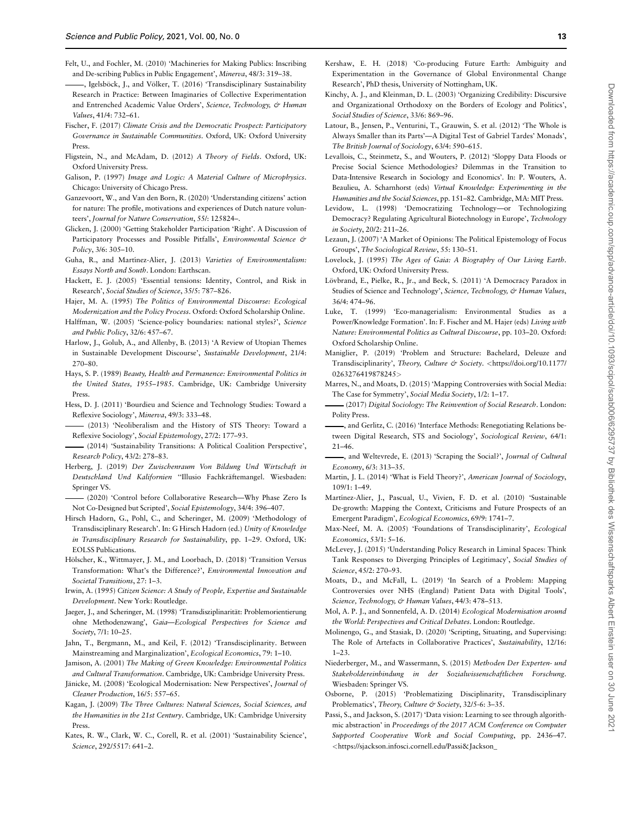- <span id="page-12-0"></span>Felt, U., and Fochler, M. (2010) 'Machineries for Making Publics: Inscribing and De-scribing Publics in Public Engagement', Minerva, 48/3: 319–38.
- , Igelsböck, J., and Völker, T. (2016) 'Transdisciplinary Sustainability Research in Practice: Between Imaginaries of Collective Experimentation and Entrenched Academic Value Orders', Science, Technology, & Human Values, 41/4: 732–61.
- Fischer, F. (2017) Climate Crisis and the Democratic Prospect: Participatory Governance in Sustainable Communities. Oxford, UK: Oxford University Press.
- Fligstein, N., and McAdam, D. (2012) A Theory of Fields. Oxford, UK: Oxford University Press.
- Galison, P. (1997) Image and Logic: A Material Culture of Microphysics. Chicago: University of Chicago Press.
- Ganzevoort, W., and Van den Born, R. (2020) 'Understanding citizens' action for nature: The profile, motivations and experiences of Dutch nature volunteers', Journal for Nature Conservation, 55/: 125824–.
- Glicken, J. (2000) 'Getting Stakeholder Participation 'Right'. A Discussion of Participatory Processes and Possible Pitfalls', Environmental Science & Policy, 3/6: 305–10.
- Guha, R., and Martínez-Alier, J. (2013) Varieties of Environmentalism: Essays North and South. London: Earthscan.
- Hackett, E. J. (2005) 'Essential tensions: Identity, Control, and Risk in Research', Social Studies of Science, 35/5: 787–826.
- Hajer, M. A. (1995) The Politics of Environmental Discourse: Ecological Modernization and the Policy Process. Oxford: Oxford Scholarship Online.
- Halffman, W. (2005) 'Science-policy boundaries: national styles?', Science and Public Policy, 32/6: 457–67.
- Harlow, J., Golub, A., and Allenby, B. (2013) 'A Review of Utopian Themes in Sustainable Development Discourse', Sustainable Development, 21/4: 270–80.
- Hays, S. P. (1989) Beauty, Health and Permanence: Environmental Politics in the United States, 1955–1985. Cambridge, UK: Cambridge University Press.
- Hess, D. J. (2011) 'Bourdieu and Science and Technology Studies: Toward a Reflexive Sociology', Minerva, 49/3: 333–48.
- (2013) 'Neoliberalism and the History of STS Theory: Toward a Reflexive Sociology', Social Epistemology, 27/2: 177–93.
- (2014) 'Sustainability Transitions: A Political Coalition Perspective', Research Policy, 43/2: 278–83.
- Herberg, J. (2019) Der Zwischenraum Von Bildung Und Wirtschaft in Deutschland Und Kalifornien "Illusio Fachkräftemangel. Wiesbaden: Springer VS.
- (2020) 'Control before Collaborative Research—Why Phase Zero Is Not Co-Designed but Scripted', Social Epistemology, 34/4: 396–407.
- Hirsch Hadorn, G., Pohl, C., and Scheringer, M. (2009) 'Methodology of Transdisciplinary Research'. In: G Hirsch Hadorn (ed.) Unity of Knowledge in Transdisciplinary Research for Sustainability, pp. 1–29. Oxford, UK: EOLSS Publications.
- Hölscher, K., Wittmayer, J. M., and Loorbach, D. (2018) 'Transition Versus Transformation: What's the Difference?', Environmental Innovation and Societal Transitions, 27: 1–3.
- Irwin, A. (1995) Citizen Science: A Study of People, Expertise and Sustainable Development. New York: Routledge.
- Jaeger, J., and Scheringer, M. (1998) 'Transdisziplinarität: Problemorientierung ohne Methodenzwang', Gaia—Ecological Perspectives for Science and Society, 7/1: 10–25.
- Jahn, T., Bergmann, M., and Keil, F. (2012) 'Transdisciplinarity. Between Mainstreaming and Marginalization', Ecological Economics, 79: 1–10.
- Jamison, A. (2001) The Making of Green Knowledge: Environmental Politics and Cultural Transformation. Cambridge, UK: Cambridge University Press.
- Jänicke, M. (2008) 'Ecological Modernisation: New Perspectives', Journal of Cleaner Production, 16/5: 557–65.
- Kagan, J. (2009) The Three Cultures: Natural Sciences, Social Sciences, and the Humanities in the 21st Century. Cambridge, UK: Cambridge University Press.
- Kates, R. W., Clark, W. C., Corell, R. et al. (2001) 'Sustainability Science', Science, 292/5517: 641–2.
- Kershaw, E. H. (2018) 'Co-producing Future Earth: Ambiguity and Experimentation in the Governance of Global Environmental Change Research', PhD thesis, University of Nottingham, UK.
- Kinchy, A. J., and Kleinman, D. L. (2003) 'Organizing Credibility: Discursive and Organizational Orthodoxy on the Borders of Ecology and Politics', Social Studies of Science, 33/6: 869–96.
- Latour, B., Jensen, P., Venturini, T., Grauwin, S. et al. (2012) 'The Whole is Always Smaller than its Parts'—A Digital Test of Gabriel Tardes' Monads', The British Journal of Sociology, 63/4: 590–615.
- Levallois, C., Steinmetz, S., and Wouters, P. (2012) 'Sloppy Data Floods or Precise Social Science Methodologies? Dilemmas in the Transition to Data-Intensive Research in Sociology and Economics'. In: P. Wouters, A. Beaulieu, A. Scharnhorst (eds) Virtual Knowledge: Experimenting in the Humanities and the Social Sciences, pp. 151–82. Cambridge, MA: MIT Press.
- Levidow, L. (1998) 'Democratizing Technology—or Technologizing Democracy? Regulating Agricultural Biotechnology in Europe', Technology in Society, 20/2: 211–26.
- Lezaun, J. (2007) 'A Market of Opinions: The Political Epistemology of Focus Groups', The Sociological Review, 55: 130–51.
- Lovelock, J. (1995) The Ages of Gaia: A Biography of Our Living Earth. Oxford, UK: Oxford University Press.
- Lövbrand, E., Pielke, R., Jr., and Beck, S. (2011) 'A Democracy Paradox in Studies of Science and Technology', Science, Technology, & Human Values, 36/4: 474–96.
- Luke, T. (1999) 'Eco-managerialism: Environmental Studies as a Power/Knowledge Formation'. In: F. Fischer and M. Hajer (eds) Living with Nature: Environmental Politics as Cultural Discourse, pp. 103–20. Oxford: Oxford Scholarship Online.
- Maniglier, P. (2019) 'Problem and Structure: Bachelard, Deleuze and Transdisciplinarity', Theory, Culture & Society. <[https://doi.org/10.1177/](https://doi.org/10.1177/0263276419878245) [0263276419878245](https://doi.org/10.1177/0263276419878245)>
- Marres, N., and Moats, D. (2015) 'Mapping Controversies with Social Media: The Case for Symmetry', Social Media Society, 1/2: 1–17.
- (2017) Digital Sociology: The Reinvention of Social Research. London: Polity Press.
- , and Gerlitz, C. (2016) 'Interface Methods: Renegotiating Relations between Digital Research, STS and Sociology', Sociological Review, 64/1: 21–46.
- , and Weltevrede, E. (2013) 'Scraping the Social?', Journal of Cultural Economy, 6/3: 313–35.
- Martin, J. L. (2014) 'What is Field Theory?', American Journal of Sociology,  $109/1.1 - 49$ .
- Martínez-Alier, J., Pascual, U., Vivien, F. D. et al. (2010) 'Sustainable De-growth: Mapping the Context, Criticisms and Future Prospects of an Emergent Paradigm', Ecological Economics, 69/9: 1741–7.
- Max-Neef, M. A. (2005) 'Foundations of Transdisciplinarity', Ecological Economics, 53/1: 5–16.
- McLevey, J. (2015) 'Understanding Policy Research in Liminal Spaces: Think Tank Responses to Diverging Principles of Legitimacy', Social Studies of Science, 45/2: 270–93.
- Moats, D., and McFall, L. (2019) 'In Search of a Problem: Mapping Controversies over NHS (England) Patient Data with Digital Tools', Science, Technology, & Human Values, 44/3: 478-513.
- Mol, A. P. J., and Sonnenfeld, A. D. (2014) Ecological Modernisation around the World: Perspectives and Critical Debates. London: Routledge.
- Molinengo, G., and Stasiak, D. (2020) 'Scripting, Situating, and Supervising: The Role of Artefacts in Collaborative Practices', Sustainability, 12/16: 1–23.
- Niederberger, M., and Wassermann, S. (2015) Methoden Der Experten- und Stakeholdereinbindung in der Sozialwissenschaftlichen Forschung. Wiesbaden: Springer VS.
- Osborne, P. (2015) 'Problematizing Disciplinarity, Transdisciplinary Problematics', Theory, Culture & Society, 32/5-6: 3-35.
- Passi, S., and Jackson, S. (2017) 'Data vision: Learning to see through algorithmic abstraction' in Proceedings of the 2017 ACM Conference on Computer Supported Cooperative Work and Social Computing, pp. 2436–47. <[https://sjackson.infosci.cornell.edu/Passi](https://sjackson.infosci.cornell.edu/Passi&hx0026;Jackson_DataVisionLearningtoSeeThroughAlgorithmicAbstraction(CSCW2017).pdf&hx003E;)&[Jackson\\_](https://sjackson.infosci.cornell.edu/Passi&hx0026;Jackson_DataVisionLearningtoSeeThroughAlgorithmicAbstraction(CSCW2017).pdf&hx003E;)

202